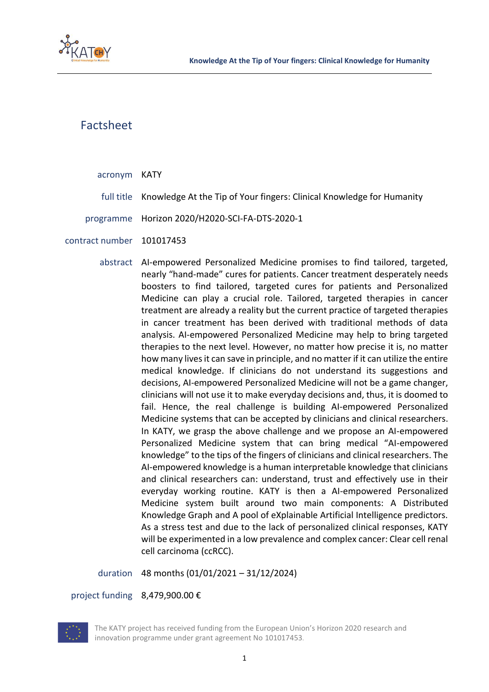

## Factsheet

## acronym KATY

- full title Knowledge At the Tip of Your fingers: Clinical Knowledge for Humanity
- programme Horizon 2020/H2020-SCI-FA-DTS-2020-1
- contract number 101017453
	- abstract AI-empowered Personalized Medicine promises to find tailored, targeted, nearly "hand-made" cures for patients. Cancer treatment desperately needs boosters to find tailored, targeted cures for patients and Personalized Medicine can play a crucial role. Tailored, targeted therapies in cancer treatment are already a reality but the current practice of targeted therapies in cancer treatment has been derived with traditional methods of data analysis. AI-empowered Personalized Medicine may help to bring targeted therapies to the next level. However, no matter how precise it is, no matter how many lives it can save in principle, and no matter if it can utilize the entire medical knowledge. If clinicians do not understand its suggestions and decisions, AI-empowered Personalized Medicine will not be a game changer, clinicians will not use it to make everyday decisions and, thus, it is doomed to fail. Hence, the real challenge is building AI-empowered Personalized Medicine systems that can be accepted by clinicians and clinical researchers. In KATY, we grasp the above challenge and we propose an AI-empowered Personalized Medicine system that can bring medical "AI-empowered knowledge" to the tips of the fingers of clinicians and clinical researchers. The AI-empowered knowledge is a human interpretable knowledge that clinicians and clinical researchers can: understand, trust and effectively use in their everyday working routine. KATY is then a AI-empowered Personalized Medicine system built around two main components: A Distributed Knowledge Graph and A pool of eXplainable Artificial Intelligence predictors. As a stress test and due to the lack of personalized clinical responses, KATY will be experimented in a low prevalence and complex cancer: Clear cell renal cell carcinoma (ccRCC).

duration 48 months (01/01/2021 – 31/12/2024)

project funding 8,479,900.00 €



The KATY project has received funding from the European Union's Horizon 2020 research and innovation programme under grant agreement No 101017453.